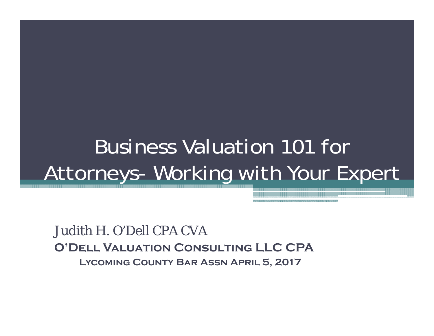### Business Valuation 101 for Attorneys- Working with Your Expert

Judith H. O'Dell CPA CVA**O'Dell Valuation Consulting LLC CPALycoming County Bar Assn April 5, 2017**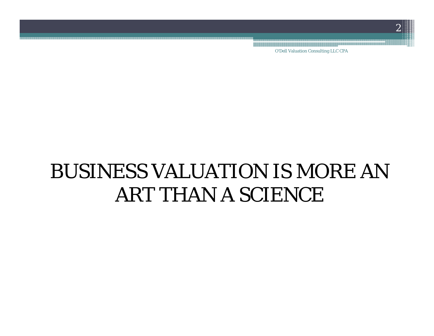O'Dell Valuation Consulting LLC CPA

### BUSINESS VALUATION IS MORE AN ART THAN A SCIENCE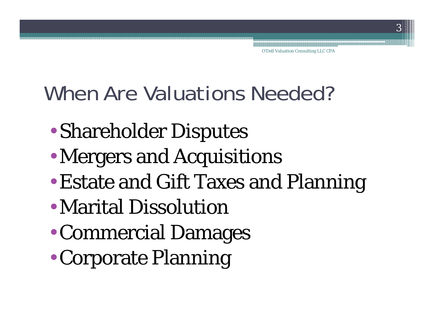### When Are Valuations Needed?

- •Shareholder Disputes
- •Mergers and Acquisitions
- •Estate and Gift Taxes and Planning
- Marital Dissolution
- •Commercial Damages
- $\bullet$ Corporate Planning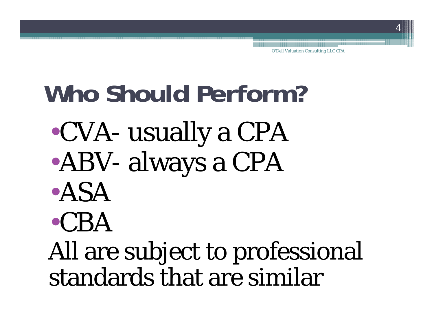# **Who Should Perform?**

- •CVA- usually a CPA
- •ABV- always a CPA
- •ASA

# •CBA

All are subject to professional standards that are similar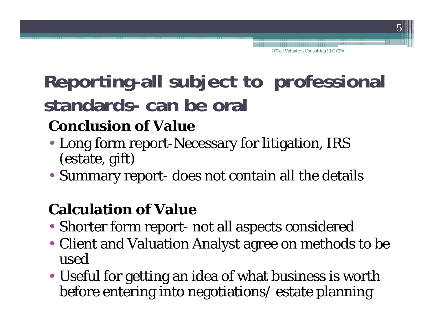### **Reporting-all subject to professional standards- can be oral**

#### **Conclusion of Value**

- Long form report-Necessary for litigation, IRS (estate, gift)
- Summary report- does not contain all the details

#### **Calculation of Value**

- Shorter form report- not all aspects considered
- Client and Valuation Analyst agree on methods to be used
- Useful for getting an idea of what business is worth before entering into negotiations/ estate planning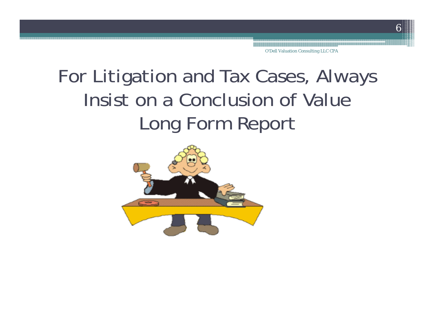### For Litigation and Tax Cases, Always Insist on a Conclusion of ValueLong Form Report

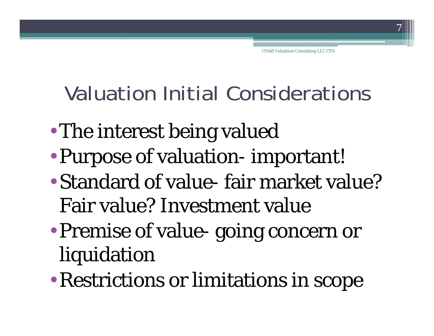Valuation Initial Considerations

- •The interest being valued
- •Purpose of valuation- important!
- Standard of value- fair market value? Fair value? Investment value
- • Premise of value- going concern or liquidation
- $\bullet$ Restrictions or limitations in scope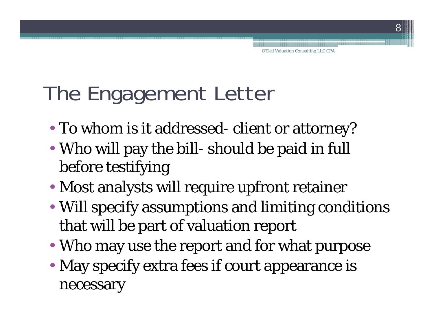### The Engagement Letter

- To whom is it addressed- client or attorney?
- Who will pay the bill- should be paid in full before testifying
- Most analysts will require upfront retainer
- Will specify assumptions and limiting conditions that will be part of valuation report
- Who may use the report and for what purpose
- May specify extra fees if court appearance is necessary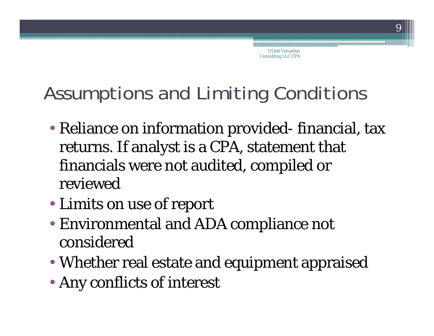O'Dell Valuation Consulting LLC CPA

### Assumptions and Limiting Conditions

- Reliance on information provided- financial, tax returns. If analyst is a CPA, statement that financials were not audited, compiled or reviewed
- Limits on use of report
- Environmental and ADA compliance not considered
- Whether real estate and equipment appraised
- Any conflicts of interest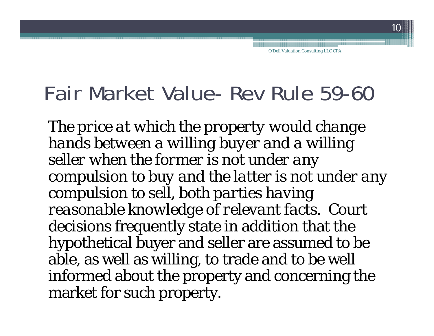### Fair Market Value- Rev Rule 59-60

*The price at which the property would change hands between a willing buyer and a willing seller when the former is not under any compulsion to buy and the latter is not under any compulsion to sell, both parties having reasonable knowledge of relevant facts.* Court decisions frequently state in addition that the hypothetical buyer and seller are assumed to be able, as well as willing, to trade and to be well informed about the property and concerning the market for such property.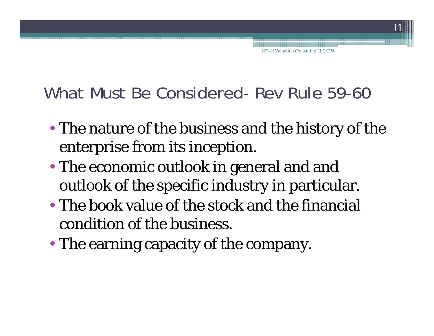#### What Must Be Considered- Rev Rule 59-60

- The nature of the business and the history of the enterprise from its inception.
- The economic outlook in general and and outlook of the specific industry in particular.
- The book value of the stock and the financial condition of the business.
- The earning capacity of the company.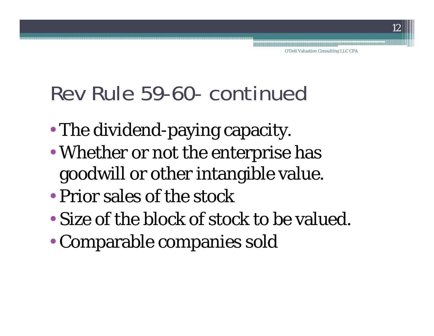### Rev Rule 59-60- continued

- •The dividend-paying capacity.
- • Whether or not the enterprise has goodwill or other intangible value.
- Prior sales of the stock
- Size of the block of stock to be valued.
- •Comparable companies sold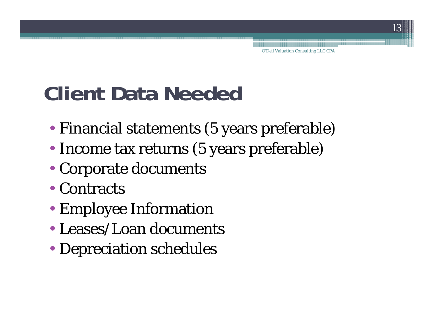### **Client Data Needed**

- Financial statements (5 years preferable)
- Income tax returns (5 years preferable)
- Corporate documents
- Contracts
- Employee Information
- Leases/Loan documents
- Depreciation schedules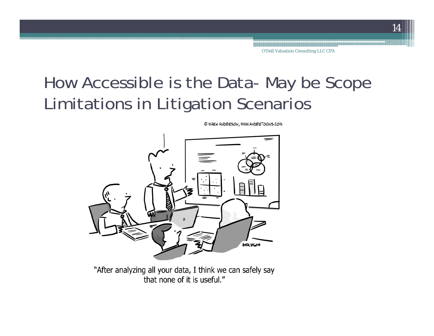### How Accessible is the Data- May be Scope Limitations in Litigation Scenarios



"After analyzing all your data, I think we can safely say that none of it is useful."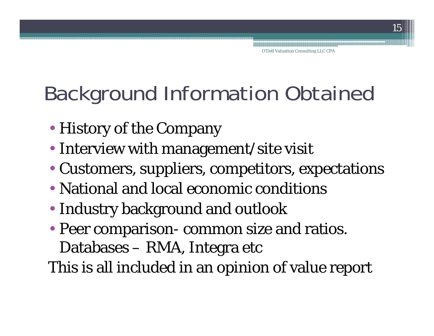### Background Information Obtained

- History of the Company
- Interview with management/site visit
- Customers, suppliers, competitors, expectations
- National and local economic conditions
- Industry background and outlook
- Peer comparison- common size and ratios. Databases – RMA, Integra etc

This is all included in an opinion of value report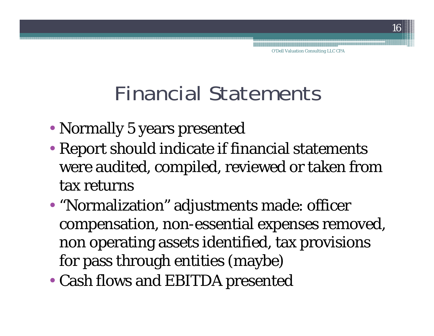### Financial Statements

- Normally 5 years presented
- Report should indicate if financial statements were audited, compiled, reviewed or taken from tax returns
- "Normalization" adjustments made: officer compensation, non-essential expenses removed, non operating assets identified, tax provisions for pass through entities (maybe)
- Cash flows and EBITDA presented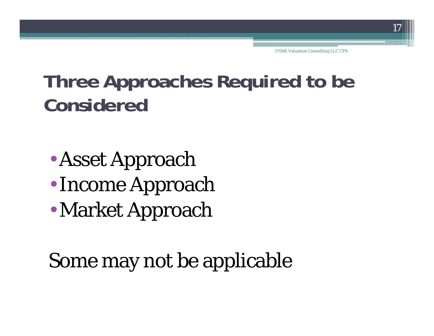### **Three Approaches Required to be Considered**

- •Asset Approach
- Income Approach
- •Market Approach

### Some may not be applicable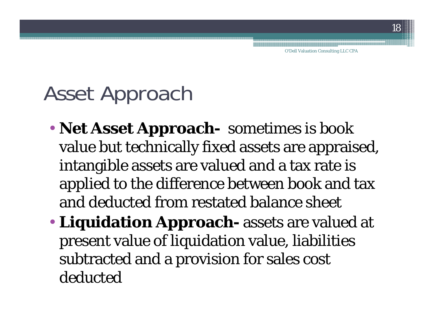### Asset Approach

- **Net Asset Approach-** sometimes is book value but technically fixed assets are appraised, intangible assets are valued and a tax rate is applied to the difference between book and tax and deducted from restated balance sheet
- **Liquidation Approach-** assets are valued at present value of liquidation value, liabilities subtracted and a provision for sales cost deducted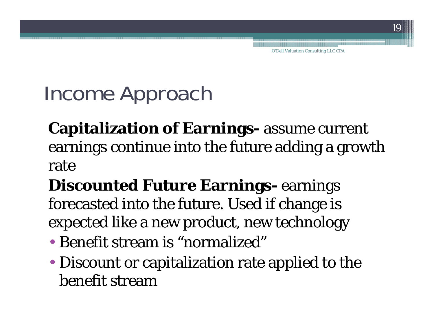O'Dell Valuation Consulting LLC CPA

### Income Approach

**Capitalization of Earnings-** assume current earnings continue into the future adding a growth rate

**Discounted Future Earnings-** earnings forecasted into the future. Used if change is expected like a new product, new technology

- Benefit stream is "normalized"
- Discount or capitalization rate applied to the benefit stream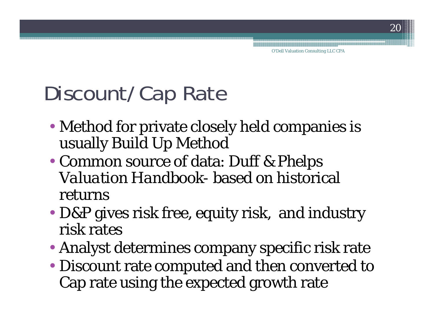O'Dell Valuation Consulting LLC CPA

### Discount/Cap Rate

- Method for private closely held companies is usually Build Up Method
- Common source of data: *Duff & Phelps Valuation Handbook*- based on historical returns
- D&P gives risk free, equity risk, and industry risk rates
- Analyst determines company specific risk rate
- Discount rate computed and then converted to Cap rate using the expected growth rate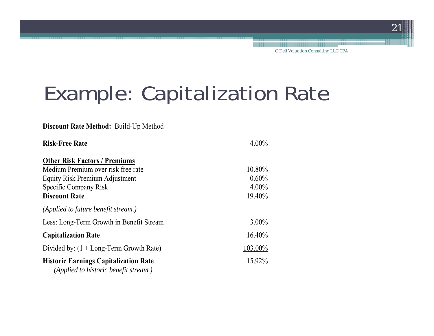### Example: Capitalization Rate

#### **Discount Rate Method:** Build-Up Method

| <b>Risk-Free Rate</b>                                                                 | $4.00\%$ |
|---------------------------------------------------------------------------------------|----------|
| <b>Other Risk Factors / Premiums</b>                                                  |          |
| Medium Premium over risk free rate                                                    | 10.80%   |
| Equity Risk Premium Adjustment                                                        | $0.60\%$ |
| Specific Company Risk                                                                 | $4.00\%$ |
| <b>Discount Rate</b>                                                                  | 19.40%   |
| (Applied to future benefit stream.)                                                   |          |
| Less: Long-Term Growth in Benefit Stream                                              | $3.00\%$ |
| <b>Capitalization Rate</b>                                                            | 16.40%   |
| Divided by: $(1 + Long-Term Growth Rate)$                                             | 103.00%  |
| <b>Historic Earnings Capitalization Rate</b><br>(Applied to historic benefit stream.) | 15.92%   |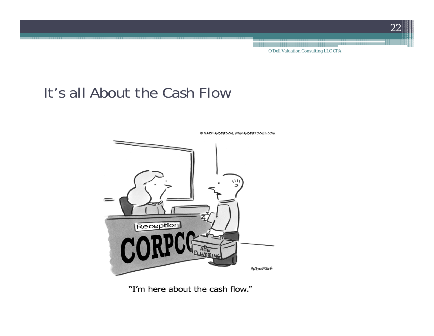O'Dell Valuation Consulting LLC CPA

#### It's all About the Cash Flow



© MAZK ANDEZSON, WWW.ANDEZTOONS.COM

"I'm here about the cash flow."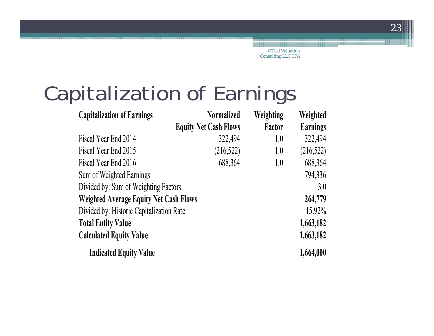O'Dell Valuation Consulting LLC CPA

### Capitalization of Earnings

| <b>Capitalization of Earnings</b>             | <b>Normalized</b>            | Weighting | Weighted        |
|-----------------------------------------------|------------------------------|-----------|-----------------|
|                                               | <b>Equity Net Cash Flows</b> | Factor    | <b>Earnings</b> |
| Fiscal Year End 2014                          | 322,494                      | 1.0       | 322,494         |
| Fiscal Year End 2015                          | (216,522)                    | 1.0       | (216, 522)      |
| Fiscal Year End 2016                          | 688,364                      | 1.0       | 688,364         |
| Sum of Weighted Earnings                      |                              |           | 794,336         |
| Divided by: Sum of Weighting Factors          |                              |           | 3.0             |
| <b>Weighted Average Equity Net Cash Flows</b> |                              |           | 264,779         |
| Divided by: Historic Capitalization Rate      | 15.92%                       |           |                 |
| <b>Total Entity Value</b>                     |                              |           | 1,663,182       |
| <b>Calculated Equity Value</b>                |                              |           | 1,663,182       |
| <b>Indicated Equity Value</b>                 |                              |           | 1,664,000       |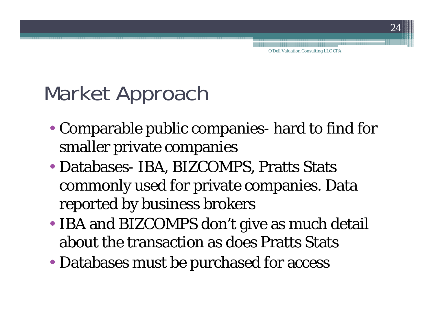### Market Approach

- Comparable public companies- hard to find for smaller private companies
- Databases- IBA, BIZCOMPS, Pratts Stats commonly used for private companies. Data reported by business brokers
- IBA and BIZCOMPS don't give as much detail about the transaction as does Pratts Stats
- Databases must be purchased for access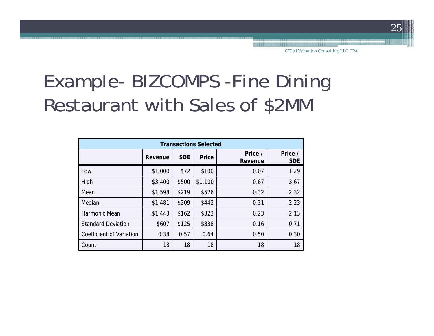### Example- BIZCOMPS -Fine Dining Restaurant with Sales of \$2MM

| <b>Transactions Selected</b> |         |            |              |                    |                       |  |  |
|------------------------------|---------|------------|--------------|--------------------|-----------------------|--|--|
|                              | Revenue | <b>SDE</b> | <b>Price</b> | Price /<br>Revenue | Price /<br><b>SDE</b> |  |  |
| Low                          | \$1,000 | \$72       | \$100        | 0.07               | 1.29                  |  |  |
| High                         | \$3,400 | \$500      | \$1,100      | 0.67               | 3.67                  |  |  |
| Mean                         | \$1,598 | \$219      | \$526        | 0.32               | 2.32                  |  |  |
| Median                       | \$1,481 | \$209      | \$442        | 0.31               | 2.23                  |  |  |
| Harmonic Mean                | \$1,443 | \$162      | \$323        | 0.23               | 2.13                  |  |  |
| <b>Standard Deviation</b>    | \$607   | \$125      | \$338        | 0.16               | 0.71                  |  |  |
| Coefficient of Variation     | 0.38    | 0.57       | 0.64         | 0.50               | 0.30                  |  |  |
| Count                        | 18      | 18         | 18           | 18                 | 18                    |  |  |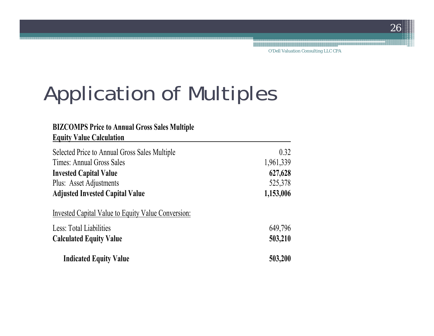### Application of Multiples

| <b>BIZCOMPS Price to Annual Gross Sales Multiple</b><br><b>Equity Value Calculation</b> |           |
|-----------------------------------------------------------------------------------------|-----------|
| Selected Price to Annual Gross Sales Multiple                                           | 0.32      |
| Times: Annual Gross Sales                                                               | 1,961,339 |
| <b>Invested Capital Value</b>                                                           | 627,628   |
| Plus: Asset Adjustments                                                                 | 525,378   |
| <b>Adjusted Invested Capital Value</b>                                                  | 1,153,006 |
| Invested Capital Value to Equity Value Conversion:                                      |           |
| Less: Total Liabilities                                                                 | 649,796   |
| <b>Calculated Equity Value</b>                                                          | 503,210   |
| <b>Indicated Equity Value</b>                                                           | 503,200   |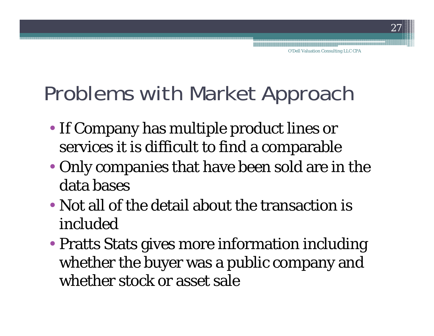### Problems with Market Approach

- If Company has multiple product lines or services it is difficult to find a comparable
- Only companies that have been sold are in the data bases
- Not all of the detail about the transaction is included
- Pratts Stats gives more information including whether the buyer was a public company and whether stock or asset sale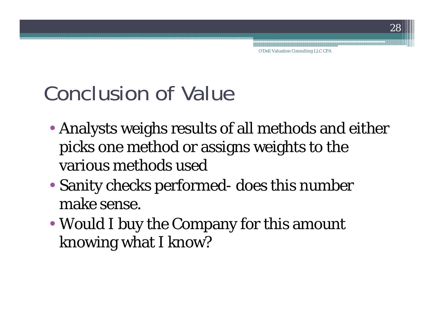### Conclusion of Value

- Analysts weighs results of all methods and either picks one method or assigns weights to the various methods used
- Sanity checks performed- does this number make sense.
- Would I buy the Company for this amount knowing what I know?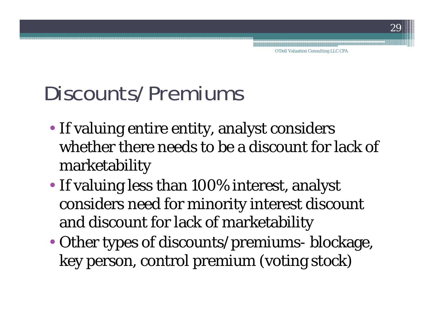### Discounts/Premiums

- If valuing entire entity, analyst considers whether there needs to be a discount for lack of marketability
- If valuing less than 100% interest, analyst considers need for minority interest discount and discount for lack of marketability
- Other types of discounts/premiums- blockage, key person, control premium (voting stock)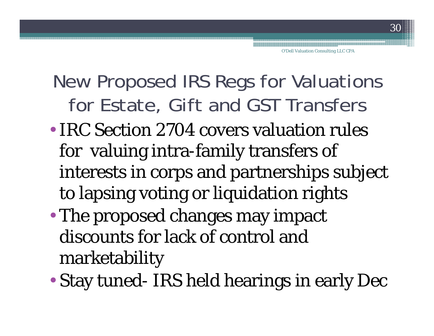### New Proposed IRS Regs for Valuations for Estate, Gift and GST Transfers

- IRC Section 2704 covers valuation rules for valuing intra-family transfers of interests in corps and partnerships subject to lapsing voting or liquidation rights
- • The proposed changes may impact discounts for lack of control and marketability
- •Stay tuned- IRS held hearings in early Dec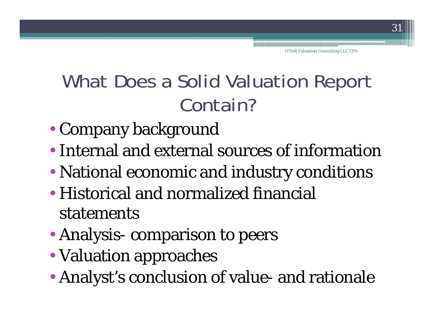### What Does a Solid Valuation Report Contain?

- Company background
- Internal and external sources of information
- National economic and industry conditions
- Historical and normalized financial statements
- Analysis- comparison to peers
- Valuation approaches
- Analyst's conclusion of value- and rationale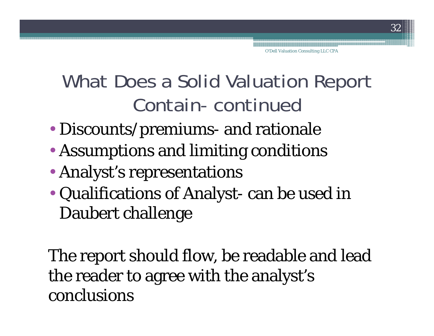### What Does a Solid Valuation Report Contain- continued

- Discounts/premiums- and rationale
- Assumptions and limiting conditions
- Analyst's representations
- Qualifications of Analyst- can be used in Daubert challenge

The report should flow, be readable and lead the reader to agree with the analyst's conclusions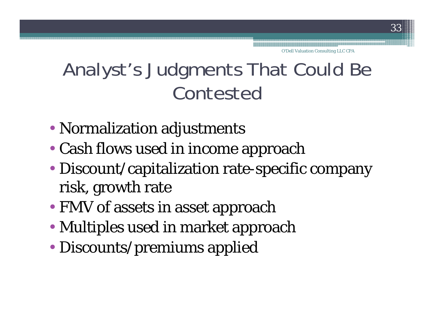### Analyst's Judgments That Could Be Contested

- Normalization adjustments
- Cash flows used in income approach
- Discount/capitalization rate-specific company risk, growth rate
- FMV of assets in asset approach
- Multiples used in market approach
- Discounts/premiums applied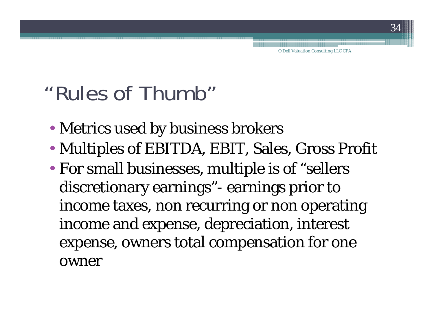### "Rules of Thumb"

- Metrics used by business brokers
- Multiples of EBITDA, EBIT, Sales, Gross Profit
- For small businesses, multiple is of "sellers discretionary earnings"- earnings prior to income taxes, non recurring or non operating income and expense, depreciation, interest expense, owners total compensation for one owner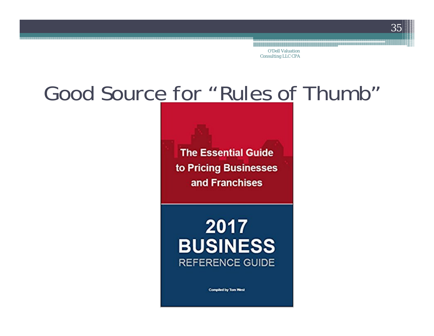O'Dell Valuation Consulting LLC CPA

### Good Source for "Rules of Thumb"

**The Essential Guide** to Pricing Businesses and Franchises

2017 **BUSINESS REFERENCE GUIDE** 

**Compiled by Tom West**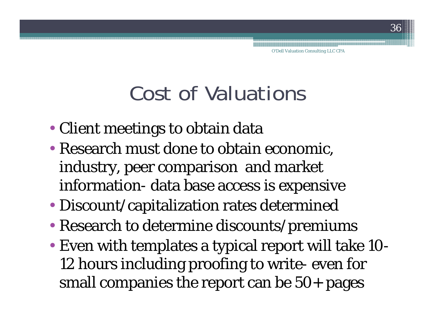### Cost of Valuations

- Client meetings to obtain data
- Research must done to obtain economic, industry, peer comparison and market information- data base access is expensive
- Discount/capitalization rates determined
- Research to determine discounts/premiums
- Even with templates a typical report will take 10- 12 hours including proofing to write- even for small companies the report can be 50+ pages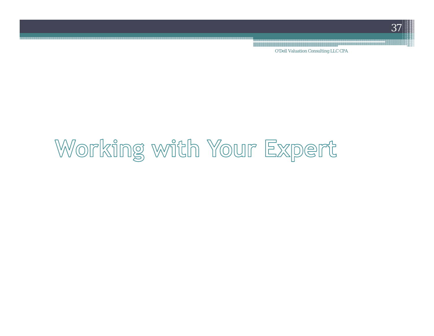O'Dell Valuation Consulting LLC CPA

## Working with Your Expert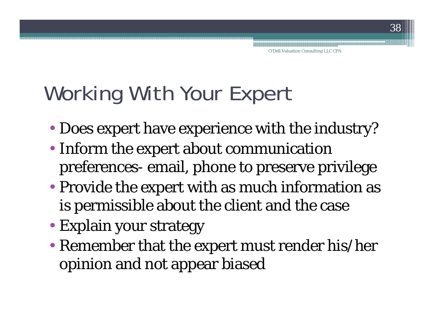## Working With Your Expert

- Does expert have experience with the industry?
- Inform the expert about communication preferences- email, phone to preserve privilege
- Provide the expert with as much information as is permissible about the client and the case
- Explain your strategy
- Remember that the expert must render his/her opinion and not appear biased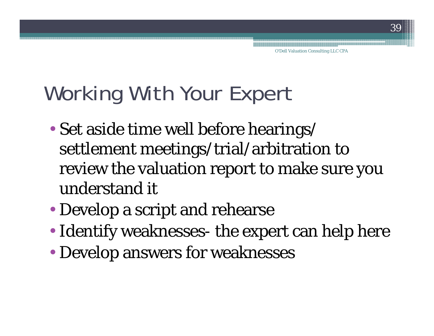### Working With Your Expert

- Set aside time well before hearings/ settlement meetings/trial/arbitration to review the valuation report to make sure you understand it
- Develop a script and rehearse
- Identify weaknesses- the expert can help here
- Develop answers for weaknesses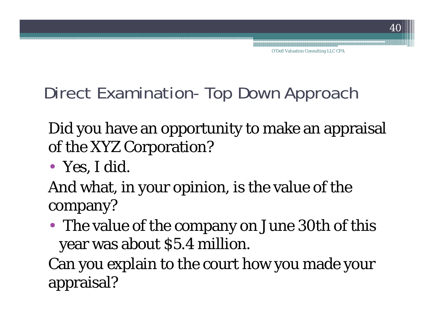Direct Examination- Top Down Approach

Did you have an opportunity to make an appraisal of the XYZ Corporation?

• Yes, I did.

And what, in your opinion, is the value of the company?

• The value of the company on June 30th of this year was about \$5.4 million.

Can you explain to the court how you made your appraisal?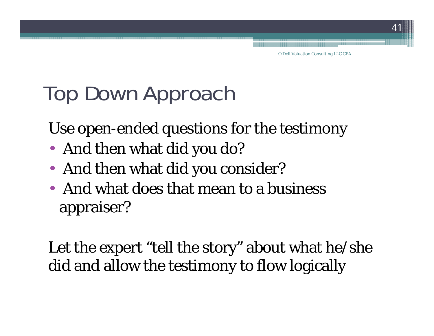### Top Down Approach

Use open-ended questions for the testimony

- And then what did you do?
- And then what did you consider?
- And what does that mean to a business appraiser?

Let the expert "tell the story" about what he/she did and allow the testimony to flow logically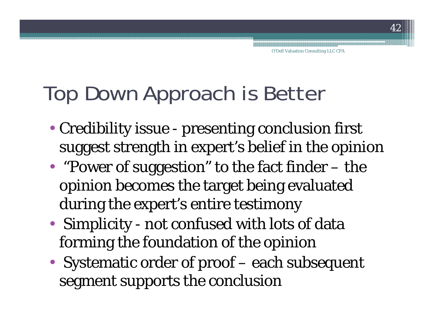### Top Down Approach is Better

- Credibility issue presenting conclusion first suggest strength in expert's belief in the opinion
- "Power of suggestion" to the fact finder the opinion becomes the target being evaluated during the expert's entire testimony
- Simplicity not confused with lots of data forming the foundation of the opinion
- Systematic order of proof each subsequent segment supports the conclusion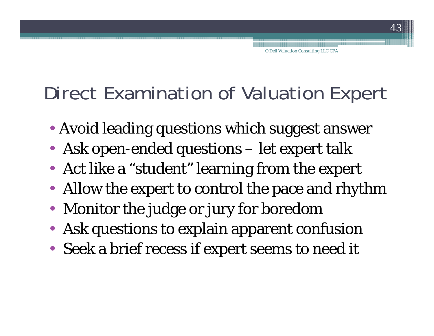### Direct Examination of Valuation Expert

- Avoid leading questions which suggest answer
- Ask open-ended questions let expert talk
- Act like a "student" learning from the expert
- Allow the expert to control the pace and rhythm
- Monitor the judge or jury for boredom
- Ask questions to explain apparent confusion
- Seek a brief recess if expert seems to need it